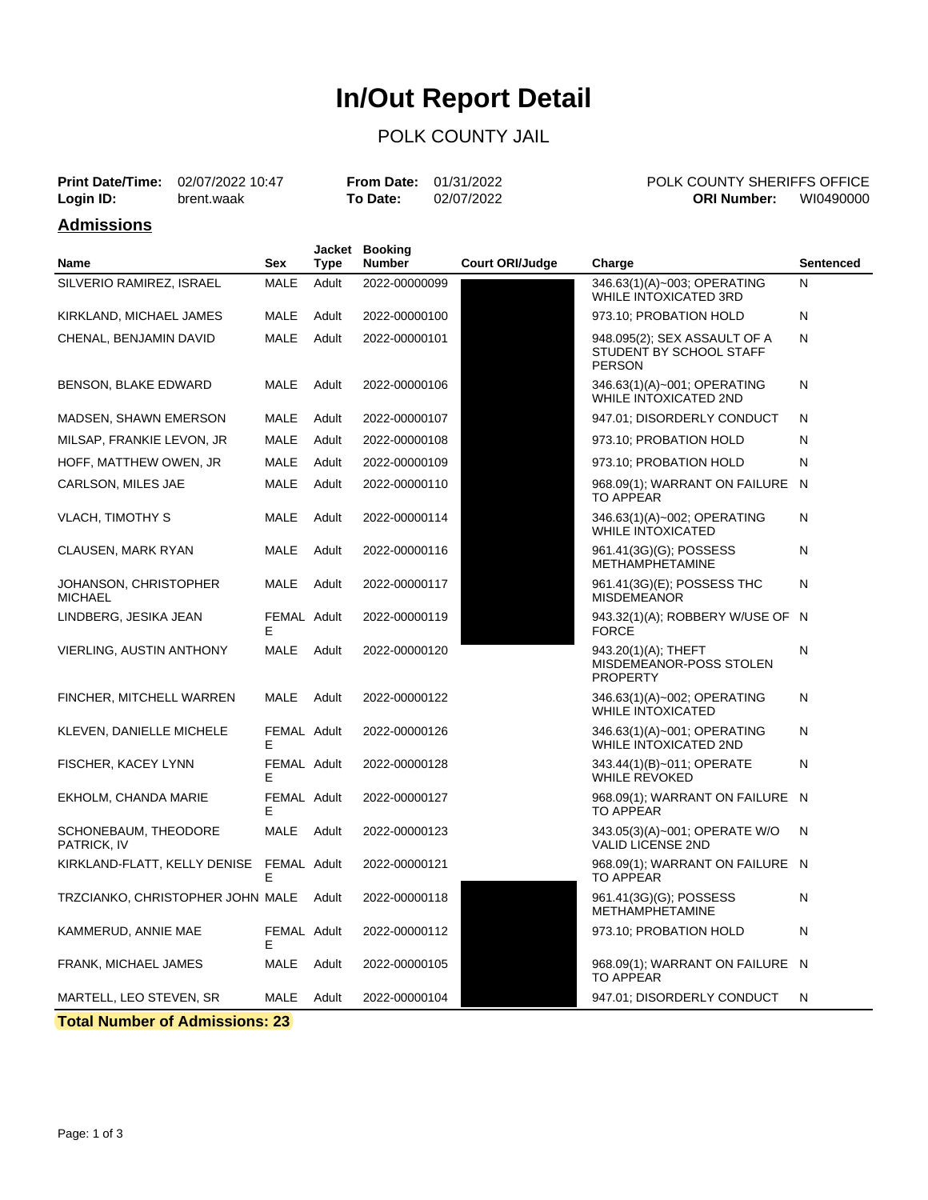# **In/Out Report Detail**

### POLK COUNTY JAIL

|           | <b>Print Date/Time:</b> 02/07/2022 10:47 | <b>From Date:</b> $01/31/2022$ |            | POLK COUNTY SHERIFFS OFFICE |           |
|-----------|------------------------------------------|--------------------------------|------------|-----------------------------|-----------|
| Login ID: | brent.waak                               | <b>To Date:</b>                | 02/07/2022 | <b>ORI Number:</b>          | WI0490000 |
| .         |                                          |                                |            |                             |           |

#### **Admissions**

| <b>Name</b>                             | Sex              | Type  | Jacket Booking<br><b>Number</b> | <b>Court ORI/Judge</b> | Charge                                                                   | Sentenced |
|-----------------------------------------|------------------|-------|---------------------------------|------------------------|--------------------------------------------------------------------------|-----------|
| SILVERIO RAMIREZ, ISRAEL                | <b>MALE</b>      | Adult | 2022-00000099                   |                        | 346.63(1)(A)~003; OPERATING<br>WHILE INTOXICATED 3RD                     | N         |
| KIRKLAND, MICHAEL JAMES                 | <b>MALE</b>      | Adult | 2022-00000100                   |                        | 973.10: PROBATION HOLD                                                   | N         |
| CHENAL, BENJAMIN DAVID                  | <b>MALE</b>      | Adult | 2022-00000101                   |                        | 948.095(2); SEX ASSAULT OF A<br>STUDENT BY SCHOOL STAFF<br><b>PERSON</b> | N         |
| BENSON, BLAKE EDWARD                    | MALE             | Adult | 2022-00000106                   |                        | 346.63(1)(A)~001; OPERATING<br><b>WHILE INTOXICATED 2ND</b>              | Ν         |
| MADSEN, SHAWN EMERSON                   | MALE             | Adult | 2022-00000107                   |                        | 947.01; DISORDERLY CONDUCT                                               | Ν         |
| MILSAP, FRANKIE LEVON, JR               | <b>MALE</b>      | Adult | 2022-00000108                   |                        | 973.10; PROBATION HOLD                                                   | N         |
| HOFF, MATTHEW OWEN, JR                  | MALE             | Adult | 2022-00000109                   |                        | 973.10; PROBATION HOLD                                                   | N         |
| CARLSON, MILES JAE                      | <b>MALE</b>      | Adult | 2022-00000110                   |                        | 968.09(1); WARRANT ON FAILURE<br><b>TO APPEAR</b>                        | - N       |
| <b>VLACH, TIMOTHY S</b>                 | <b>MALE</b>      | Adult | 2022-00000114                   |                        | 346.63(1)(A)~002; OPERATING<br><b>WHILE INTOXICATED</b>                  | N         |
| <b>CLAUSEN, MARK RYAN</b>               | MALE             | Adult | 2022-00000116                   |                        | 961.41(3G)(G); POSSESS<br><b>METHAMPHETAMINE</b>                         | N         |
| JOHANSON, CHRISTOPHER<br><b>MICHAEL</b> | MALE             | Adult | 2022-00000117                   |                        | 961.41(3G)(E); POSSESS THC<br><b>MISDEMEANOR</b>                         | N         |
| LINDBERG, JESIKA JEAN                   | FEMAL Adult<br>F |       | 2022-00000119                   |                        | 943.32(1)(A); ROBBERY W/USE OF N<br><b>FORCE</b>                         |           |
| <b>VIERLING, AUSTIN ANTHONY</b>         | MALE             | Adult | 2022-00000120                   |                        | 943.20(1)(A); THEFT<br>MISDEMEANOR-POSS STOLEN<br><b>PROPERTY</b>        | Ν         |
| FINCHER, MITCHELL WARREN                | <b>MALE</b>      | Adult | 2022-00000122                   |                        | 346.63(1)(A)~002; OPERATING<br><b>WHILE INTOXICATED</b>                  | N         |
| KLEVEN, DANIELLE MICHELE                | FEMAL Adult<br>E |       | 2022-00000126                   |                        | 346.63(1)(A)~001; OPERATING<br><b>WHILE INTOXICATED 2ND</b>              | N         |
| FISCHER, KACEY LYNN                     | FEMAL Adult<br>E |       | 2022-00000128                   |                        | 343.44(1)(B)~011; OPERATE<br><b>WHILE REVOKED</b>                        | N         |
| EKHOLM, CHANDA MARIE                    | FEMAL Adult<br>E |       | 2022-00000127                   |                        | 968.09(1); WARRANT ON FAILURE N<br><b>TO APPEAR</b>                      |           |
| SCHONEBAUM, THEODORE<br>PATRICK, IV     | <b>MALE</b>      | Adult | 2022-00000123                   |                        | 343.05(3)(A)~001; OPERATE W/O<br><b>VALID LICENSE 2ND</b>                | N         |
| KIRKLAND-FLATT, KELLY DENISE            | FEMAL Adult<br>E |       | 2022-00000121                   |                        | 968.09(1); WARRANT ON FAILURE N<br><b>TO APPEAR</b>                      |           |
| TRZCIANKO, CHRISTOPHER JOHN MALE        |                  | Adult | 2022-00000118                   |                        | 961.41(3G)(G); POSSESS<br>METHAMPHETAMINE                                | Ν         |
| KAMMERUD, ANNIE MAE                     | FEMAL Adult<br>Е |       | 2022-00000112                   |                        | 973.10; PROBATION HOLD                                                   | N         |
| <b>FRANK, MICHAEL JAMES</b>             | MALE             | Adult | 2022-00000105                   |                        | 968.09(1); WARRANT ON FAILURE N<br><b>TO APPEAR</b>                      |           |
| MARTELL, LEO STEVEN, SR                 | <b>MALE</b>      | Adult | 2022-00000104                   |                        | 947.01; DISORDERLY CONDUCT                                               | N         |

**Total Number of Admissions: 23**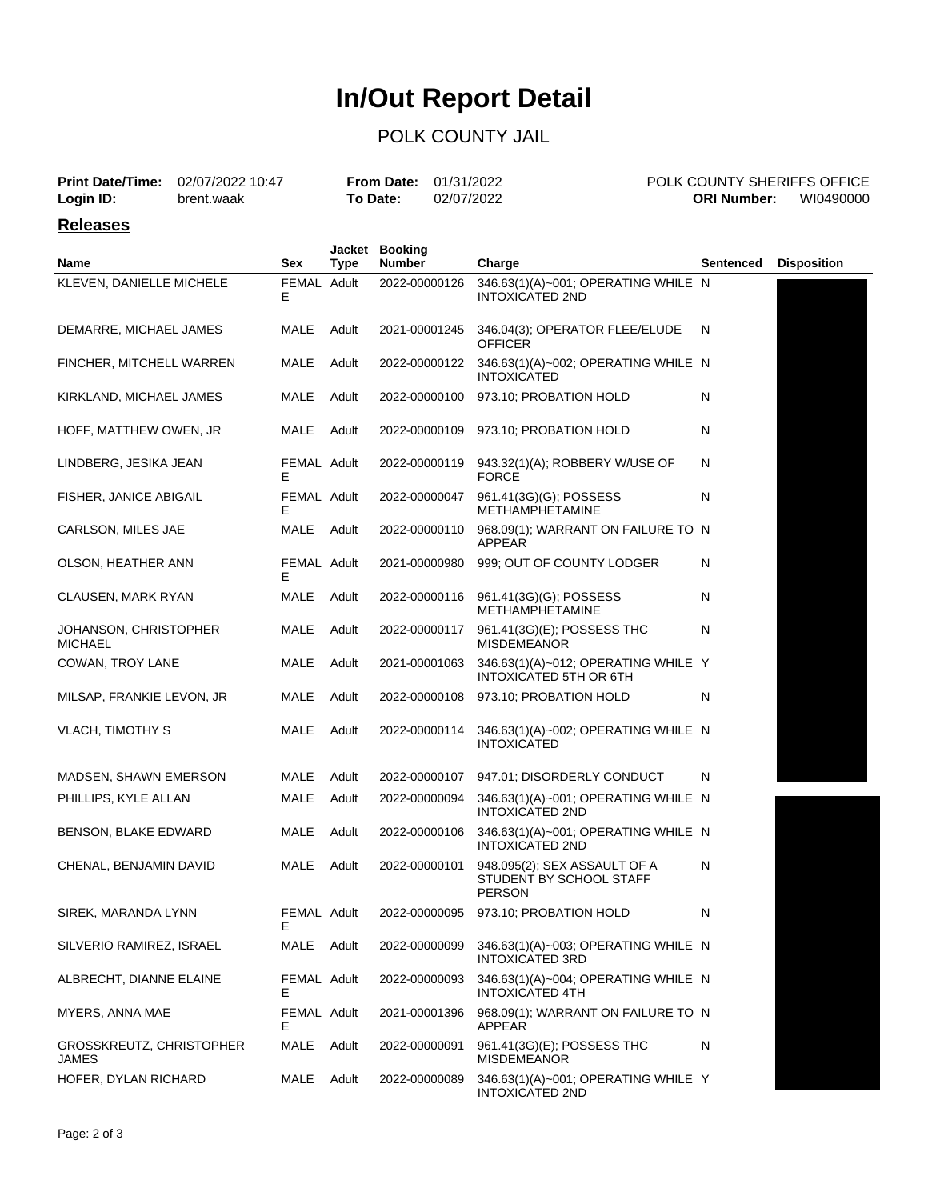# **In/Out Report Detail**

### POLK COUNTY JAIL

|                 | <b>Print Date/Time:</b> 02/07/2022 10:47 | <b>From Date:</b> $01/31/2022$ |            | POLK COUNTY SHERIFFS OFFICE |           |
|-----------------|------------------------------------------|--------------------------------|------------|-----------------------------|-----------|
| Login ID:       | brent.waak                               | To Date:                       | 02/07/2022 | <b>ORI Number:</b>          | WI0490000 |
| <b>Releases</b> |                                          |                                |            |                             |           |

| Name                                     | Sex               | <b>Type</b> | Jacket Booking<br><b>Number</b> | Charge                                                                   | Sentenced | <b>Disposition</b> |
|------------------------------------------|-------------------|-------------|---------------------------------|--------------------------------------------------------------------------|-----------|--------------------|
| KLEVEN, DANIELLE MICHELE                 | FEMAL Adult<br>Е  |             | 2022-00000126                   | 346.63(1)(A)~001; OPERATING WHILE N<br><b>INTOXICATED 2ND</b>            |           |                    |
| DEMARRE, MICHAEL JAMES                   | MALE              | Adult       | 2021-00001245                   | 346.04(3); OPERATOR FLEE/ELUDE<br><b>OFFICER</b>                         | N         |                    |
| FINCHER, MITCHELL WARREN                 | MALE              | Adult       | 2022-00000122                   | 346.63(1)(A)~002; OPERATING WHILE N<br><b>INTOXICATED</b>                |           |                    |
| KIRKLAND, MICHAEL JAMES                  | MALE              | Adult       | 2022-00000100                   | 973.10; PROBATION HOLD                                                   | Ν         |                    |
| HOFF, MATTHEW OWEN, JR                   | MALE              | Adult       | 2022-00000109                   | 973.10; PROBATION HOLD                                                   | N         |                    |
| LINDBERG, JESIKA JEAN                    | FEMAL Adult<br>Е  |             | 2022-00000119                   | 943.32(1)(A); ROBBERY W/USE OF<br><b>FORCE</b>                           | N         |                    |
| FISHER, JANICE ABIGAIL                   | FEMAL Adult<br>Е  |             | 2022-00000047                   | 961.41(3G)(G); POSSESS<br><b>METHAMPHETAMINE</b>                         | Ν         |                    |
| CARLSON, MILES JAE                       | MALE              | Adult       | 2022-00000110                   | 968.09(1); WARRANT ON FAILURE TO N<br>APPEAR                             |           |                    |
| OLSON, HEATHER ANN                       | FEMAL Adult<br>Е  |             | 2021-00000980                   | 999; OUT OF COUNTY LODGER                                                | N         |                    |
| CLAUSEN, MARK RYAN                       | MALE              | Adult       | 2022-00000116                   | 961.41(3G)(G); POSSESS<br><b>METHAMPHETAMINE</b>                         | Ν         |                    |
| JOHANSON, CHRISTOPHER<br><b>MICHAEL</b>  | MALE              | Adult       | 2022-00000117                   | 961.41(3G)(E); POSSESS THC<br><b>MISDEMEANOR</b>                         | N         |                    |
| COWAN, TROY LANE                         | MALE              | Adult       | 2021-00001063                   | 346.63(1)(A)~012; OPERATING WHILE Y<br>INTOXICATED 5TH OR 6TH            |           |                    |
| MILSAP, FRANKIE LEVON, JR                | MALE              | Adult       | 2022-00000108                   | 973.10; PROBATION HOLD                                                   | N         |                    |
| <b>VLACH, TIMOTHY S</b>                  | MALE              | Adult       | 2022-00000114                   | 346.63(1)(A)~002; OPERATING WHILE N<br><b>INTOXICATED</b>                |           |                    |
| MADSEN, SHAWN EMERSON                    | MALE              | Adult       | 2022-00000107                   | 947.01; DISORDERLY CONDUCT                                               | N         |                    |
| PHILLIPS, KYLE ALLAN                     | MALE              | Adult       | 2022-00000094                   | 346.63(1)(A)~001; OPERATING WHILE N<br><b>INTOXICATED 2ND</b>            |           |                    |
| BENSON, BLAKE EDWARD                     | MALE              | Adult       | 2022-00000106                   | 346.63(1)(A)~001; OPERATING WHILE N<br><b>INTOXICATED 2ND</b>            |           |                    |
| CHENAL, BENJAMIN DAVID                   | MALE              | Adult       | 2022-00000101                   | 948.095(2); SEX ASSAULT OF A<br>STUDENT BY SCHOOL STAFF<br><b>PERSON</b> | N         |                    |
| SIREK, MARANDA LYNN                      | FEMAL Adult       |             | 2022-00000095                   | 973.10; PROBATION HOLD                                                   | Ν         |                    |
| SILVERIO RAMIREZ, ISRAEL                 | MALE              | Adult       | 2022-00000099                   | 346.63(1)(A)~003; OPERATING WHILE N<br><b>INTOXICATED 3RD</b>            |           |                    |
| ALBRECHT, DIANNE ELAINE                  | FEMAL Adult<br>Е  |             | 2022-00000093                   | 346.63(1)(A)~004; OPERATING WHILE N<br><b>INTOXICATED 4TH</b>            |           |                    |
| MYERS, ANNA MAE                          | FEMAL Adult<br>E. |             | 2021-00001396                   | 968.09(1); WARRANT ON FAILURE TO N<br>APPEAR                             |           |                    |
| <b>GROSSKREUTZ, CHRISTOPHER</b><br>JAMES | MALE              | Adult       | 2022-00000091                   | 961.41(3G)(E); POSSESS THC<br><b>MISDEMEANOR</b>                         | N         |                    |
| HOFER, DYLAN RICHARD                     | MALE              | Adult       | 2022-00000089                   | 346.63(1)(A)~001; OPERATING WHILE Y<br><b>INTOXICATED 2ND</b>            |           |                    |